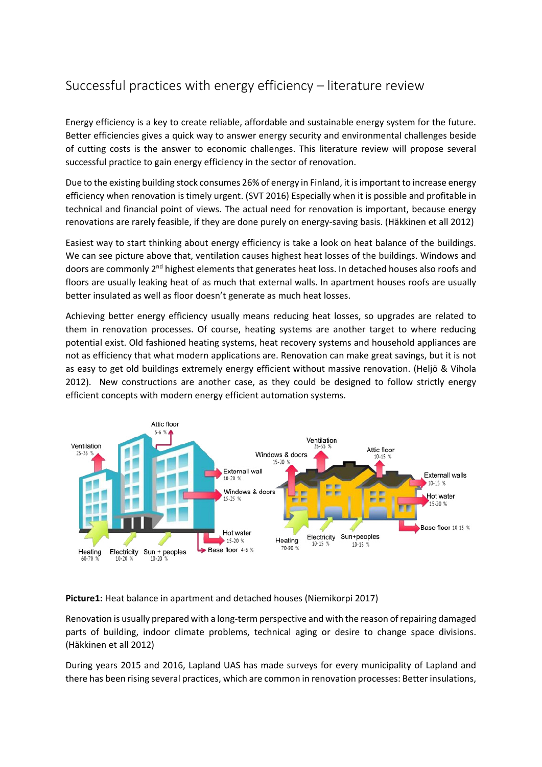# Successful practices with energy efficiency – literature review

Energy efficiency is a key to create reliable, affordable and sustainable energy system for the future. Better efficiencies gives a quick way to answer energy security and environmental challenges beside of cutting costs is the answer to economic challenges. This literature review will propose several successful practice to gain energy efficiency in the sector of renovation.

Due to the existing building stock consumes 26% of energy in Finland, it is important to increase energy efficiency when renovation is timely urgent. (SVT 2016) Especially when it is possible and profitable in technical and financial point of views. The actual need for renovation is important, because energy renovations are rarely feasible, if they are done purely on energy-saving basis. (Häkkinen et all 2012)

Easiest way to start thinking about energy efficiency is take a look on heat balance of the buildings. We can see picture above that, ventilation causes highest heat losses of the buildings. Windows and doors are commonly 2<sup>nd</sup> highest elements that generates heat loss. In detached houses also roofs and floors are usually leaking heat of as much that external walls. In apartment houses roofs are usually better insulated as well as floor doesn't generate as much heat losses.

Achieving better energy efficiency usually means reducing heat losses, so upgrades are related to them in renovation processes. Of course, heating systems are another target to where reducing potential exist. Old fashioned heating systems, heat recovery systems and household appliances are not as efficiency that what modern applications are. Renovation can make great savings, but it is not as easy to get old buildings extremely energy efficient without massive renovation. (Heljö & Vihola 2012). New constructions are another case, as they could be designed to follow strictly energy efficient concepts with modern energy efficient automation systems.



**Picture1:** Heat balance in apartment and detached houses (Niemikorpi 2017)

Renovation is usually prepared with a long-term perspective and with the reason of repairing damaged parts of building, indoor climate problems, technical aging or desire to change space divisions. (Häkkinen et all 2012)

During years 2015 and 2016, Lapland UAS has made surveys for every municipality of Lapland and there has been rising several practices, which are common in renovation processes: Better insulations,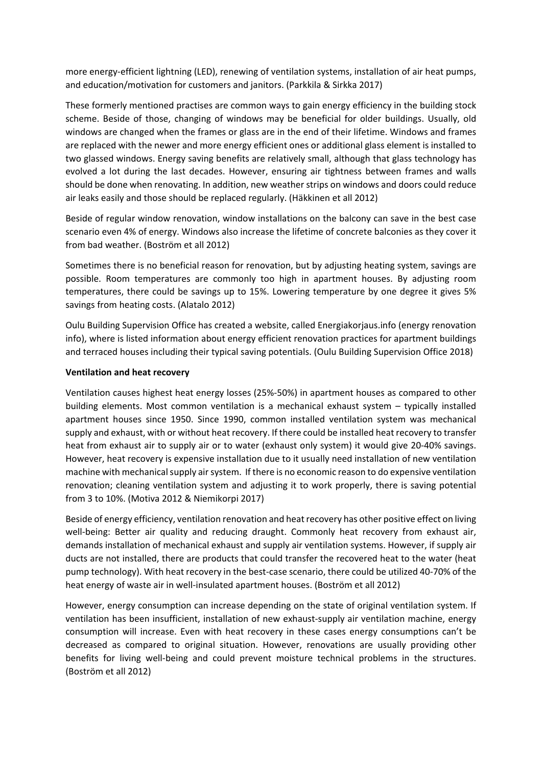more energy-efficient lightning (LED), renewing of ventilation systems, installation of air heat pumps, and education/motivation for customers and janitors. (Parkkila & Sirkka 2017)

These formerly mentioned practises are common ways to gain energy efficiency in the building stock scheme. Beside of those, changing of windows may be beneficial for older buildings. Usually, old windows are changed when the frames or glass are in the end of their lifetime. Windows and frames are replaced with the newer and more energy efficient ones or additional glass element is installed to two glassed windows. Energy saving benefits are relatively small, although that glass technology has evolved a lot during the last decades. However, ensuring air tightness between frames and walls should be done when renovating. In addition, new weather strips on windows and doors could reduce air leaks easily and those should be replaced regularly. (Häkkinen et all 2012)

Beside of regular window renovation, window installations on the balcony can save in the best case scenario even 4% of energy. Windows also increase the lifetime of concrete balconies as they cover it from bad weather. (Boström et all 2012)

Sometimes there is no beneficial reason for renovation, but by adjusting heating system, savings are possible. Room temperatures are commonly too high in apartment houses. By adjusting room temperatures, there could be savings up to 15%. Lowering temperature by one degree it gives 5% savings from heating costs. (Alatalo 2012)

Oulu Building Supervision Office has created a website, called Energiakorjaus.info (energy renovation info), where is listed information about energy efficient renovation practices for apartment buildings and terraced houses including their typical saving potentials. (Oulu Building Supervision Office 2018)

## **Ventilation and heat recovery**

Ventilation causes highest heat energy losses (25%-50%) in apartment houses as compared to other building elements. Most common ventilation is a mechanical exhaust system – typically installed apartment houses since 1950. Since 1990, common installed ventilation system was mechanical supply and exhaust, with or without heat recovery. If there could be installed heat recovery to transfer heat from exhaust air to supply air or to water (exhaust only system) it would give 20-40% savings. However, heat recovery is expensive installation due to it usually need installation of new ventilation machine with mechanical supply air system. If there is no economic reason to do expensive ventilation renovation; cleaning ventilation system and adjusting it to work properly, there is saving potential from 3 to 10%. (Motiva 2012 & Niemikorpi 2017)

Beside of energy efficiency, ventilation renovation and heat recovery has other positive effect on living well-being: Better air quality and reducing draught. Commonly heat recovery from exhaust air, demands installation of mechanical exhaust and supply air ventilation systems. However, if supply air ducts are not installed, there are products that could transfer the recovered heat to the water (heat pump technology). With heat recovery in the best-case scenario, there could be utilized 40-70% of the heat energy of waste air in well-insulated apartment houses. (Boström et all 2012)

However, energy consumption can increase depending on the state of original ventilation system. If ventilation has been insufficient, installation of new exhaust-supply air ventilation machine, energy consumption will increase. Even with heat recovery in these cases energy consumptions can't be decreased as compared to original situation. However, renovations are usually providing other benefits for living well-being and could prevent moisture technical problems in the structures. (Boström et all 2012)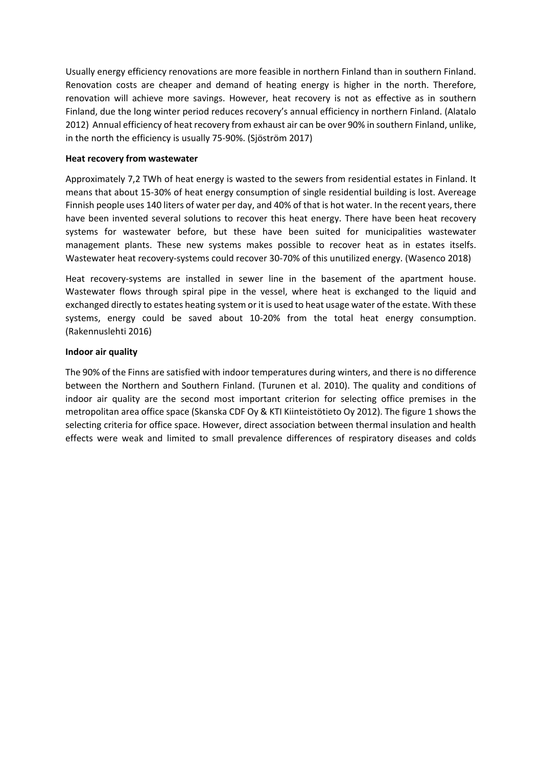Usually energy efficiency renovations are more feasible in northern Finland than in southern Finland. Renovation costs are cheaper and demand of heating energy is higher in the north. Therefore, renovation will achieve more savings. However, heat recovery is not as effective as in southern Finland, due the long winter period reduces recovery's annual efficiency in northern Finland. (Alatalo 2012) Annual efficiency of heat recovery from exhaust air can be over 90% in southern Finland, unlike, in the north the efficiency is usually 75-90%. (Sjöström 2017)

#### **Heat recovery from wastewater**

Approximately 7,2 TWh of heat energy is wasted to the sewers from residential estates in Finland. It means that about 15-30% of heat energy consumption of single residential building is lost. Avereage Finnish people uses 140 liters of water per day, and 40% of that is hot water. In the recent years, there have been invented several solutions to recover this heat energy. There have been heat recovery systems for wastewater before, but these have been suited for municipalities wastewater management plants. These new systems makes possible to recover heat as in estates itselfs. Wastewater heat recovery-systems could recover 30-70% of this unutilized energy. (Wasenco 2018)

Heat recovery-systems are installed in sewer line in the basement of the apartment house. Wastewater flows through spiral pipe in the vessel, where heat is exchanged to the liquid and exchanged directly to estates heating system or it is used to heat usage water of the estate. With these systems, energy could be saved about 10-20% from the total heat energy consumption. (Rakennuslehti 2016)

## **Indoor air quality**

The 90% of the Finns are satisfied with indoor temperatures during winters, and there is no difference between the Northern and Southern Finland. (Turunen et al. 2010). The quality and conditions of indoor air quality are the second most important criterion for selecting office premises in the metropolitan area office space (Skanska CDF Oy & KTI Kiinteistötieto Oy 2012). The figure 1 shows the selecting criteria for office space. However, direct association between thermal insulation and health effects were weak and limited to small prevalence differences of respiratory diseases and colds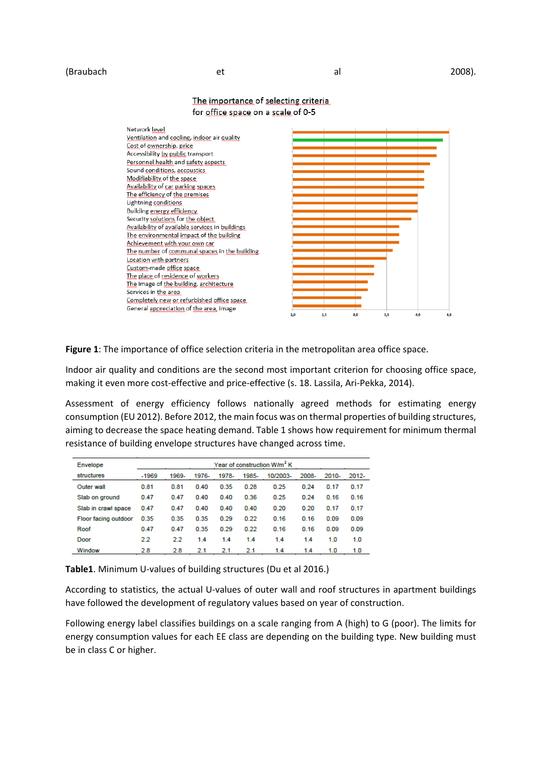#### (Braubach et et al 2008).

Network level Ventilation and cooling, indoor air quality Cost of ownership, price Accessibility by public transport Personnel health and safety aspects Sound conditions, accoustics Modifiability of the space. Availability of car parking spaces The efficiency of the premises Lightning conditions Building energy efficiency Security solutions for the object Availability of available services in buildings The environmental impact of the building Achievement with your own car The number of communal spaces in the building Location with partners Custom-made office space The place of residence of workers The image of the building, architecture Services in the area Completely new or refurbished office space General appreciation of the area, image  $\frac{1}{2.5}$ 3,5 4,0

### The importance of selecting criteria for office space on a scale of 0-5

**Figure 1**: The importance of office selection criteria in the metropolitan area office space.

Indoor air quality and conditions are the second most important criterion for choosing office space, making it even more cost-effective and price-effective (s. 18. Lassila, Ari-Pekka, 2014).

Assessment of energy efficiency follows nationally agreed methods for estimating energy consumption (EU 2012). Before 2012, the main focus was on thermal properties of building structures, aiming to decrease the space heating demand. Table 1 shows how requirement for minimum thermal resistance of building envelope structures have changed across time.

| Envelope             |         | Year of construction W/m <sup>2</sup> K |       |       |       |          |       |       |       |
|----------------------|---------|-----------------------------------------|-------|-------|-------|----------|-------|-------|-------|
| structures           | $-1969$ | 1969-                                   | 1976- | 1978- | 1985- | 10/2003- | 2008- | 2010- | 2012- |
| Outer wall           | 0.81    | 0.81                                    | 0.40  | 0.35  | 0.28  | 0.25     | 0.24  | 0.17  | 0.17  |
| Slab on ground       | 0.47    | 0.47                                    | 0.40  | 0.40  | 0.36  | 0.25     | 0.24  | 0.16  | 0.16  |
| Slab in crawl space  | 0.47    | 0.47                                    | 0.40  | 0.40  | 0.40  | 0.20     | 0.20  | 0.17  | 0.17  |
| Floor facing outdoor | 0.35    | 0.35                                    | 0.35  | 0.29  | 0.22  | 0.16     | 0.16  | 0.09  | 0.09  |
| Roof                 | 0.47    | 0.47                                    | 0.35  | 0.29  | 0.22  | 0.16     | 0.16  | 0.09  | 0.09  |
| Door                 | 2.2     | 22                                      | 1.4   | 1.4   | 1.4   | 1.4      | 1.4   | 1.0   | 1.0   |
| Window               | 2.8     | 2.8                                     | 2.1   | 2.1   | 2.1   | 1.4      | 1.4   | 1.0   | 1.0   |

**Table1**. Minimum U-values of building structures (Du et al 2016.)

According to statistics, the actual U-values of outer wall and roof structures in apartment buildings have followed the development of regulatory values based on year of construction.

Following energy label classifies buildings on a scale ranging from A (high) to G (poor). The limits for energy consumption values for each EE class are depending on the building type. New building must be in class C or higher.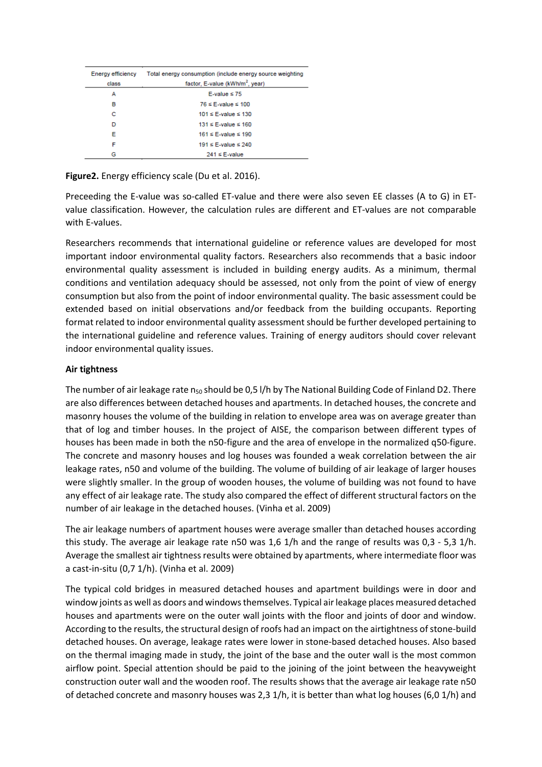| Energy efficiency<br>class | Total energy consumption (include energy source weighting<br>factor. E-value (kWh/m <sup>2</sup> , year) |
|----------------------------|----------------------------------------------------------------------------------------------------------|
| А                          | E-value $\leq 75$                                                                                        |
| в                          | $76 \leq$ E-value $\leq 100$                                                                             |
| c                          | $101 \leq$ F-value $\leq 130$                                                                            |
| D                          | $131 \leq$ F-value $\leq 160$                                                                            |
| Е                          | $161 \leq$ E-value $\leq 190$                                                                            |
| F                          | 191 $\leq$ F-value $\leq$ 240                                                                            |
| G                          | $241 \le E$ -value                                                                                       |

**Figure2.** Energy efficiency scale (Du et al. 2016).

Preceeding the E-value was so-called ET-value and there were also seven EE classes (A to G) in ETvalue classification. However, the calculation rules are different and ET-values are not comparable with E-values.

Researchers recommends that international guideline or reference values are developed for most important indoor environmental quality factors. Researchers also recommends that a basic indoor environmental quality assessment is included in building energy audits. As a minimum, thermal conditions and ventilation adequacy should be assessed, not only from the point of view of energy consumption but also from the point of indoor environmental quality. The basic assessment could be extended based on initial observations and/or feedback from the building occupants. Reporting format related to indoor environmental quality assessment should be further developed pertaining to the international guideline and reference values. Training of energy auditors should cover relevant indoor environmental quality issues.

#### **Air tightness**

The number of air leakage rate n<sub>50</sub> should be 0,5 l/h by The National Building Code of Finland D2. There are also differences between detached houses and apartments. In detached houses, the concrete and masonry houses the volume of the building in relation to envelope area was on average greater than that of log and timber houses. In the project of AISE, the comparison between different types of houses has been made in both the n50-figure and the area of envelope in the normalized q50-figure. The concrete and masonry houses and log houses was founded a weak correlation between the air leakage rates, n50 and volume of the building. The volume of building of air leakage of larger houses were slightly smaller. In the group of wooden houses, the volume of building was not found to have any effect of air leakage rate. The study also compared the effect of different structural factors on the number of air leakage in the detached houses. (Vinha et al. 2009)

The air leakage numbers of apartment houses were average smaller than detached houses according this study. The average air leakage rate n50 was 1,6 1/h and the range of results was 0,3 - 5,3 1/h. Average the smallest air tightness results were obtained by apartments, where intermediate floor was a cast-in-situ (0,7 1/h). (Vinha et al. 2009)

The typical cold bridges in measured detached houses and apartment buildings were in door and window joints as well as doors and windows themselves. Typical air leakage places measured detached houses and apartments were on the outer wall joints with the floor and joints of door and window. According to the results, the structural design of roofs had an impact on the airtightness of stone-build detached houses. On average, leakage rates were lower in stone-based detached houses. Also based on the thermal imaging made in study, the joint of the base and the outer wall is the most common airflow point. Special attention should be paid to the joining of the joint between the heavyweight construction outer wall and the wooden roof. The results shows that the average air leakage rate n50 of detached concrete and masonry houses was 2,3 1/h, it is better than what log houses (6,0 1/h) and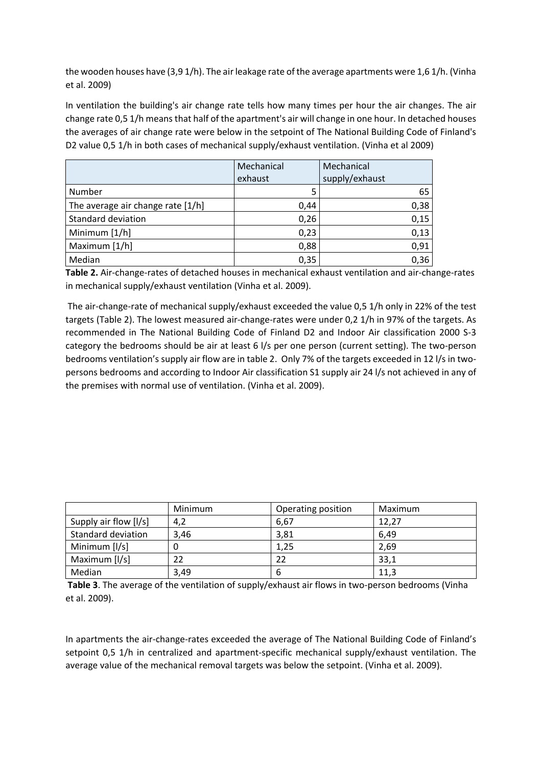the wooden houses have (3,9 1/h). The air leakage rate of the average apartments were 1,6 1/h. (Vinha et al. 2009)

In ventilation the building's air change rate tells how many times per hour the air changes. The air change rate 0,5 1/h means that half of the apartment's air will change in one hour. In detached houses the averages of air change rate were below in the setpoint of The National Building Code of Finland's D2 value 0,5 1/h in both cases of mechanical supply/exhaust ventilation. (Vinha et al 2009)

|                                   | Mechanical | Mechanical     |
|-----------------------------------|------------|----------------|
|                                   | exhaust    | supply/exhaust |
| Number                            | 5          | 65             |
| The average air change rate [1/h] | 0,44       | 0,38           |
| <b>Standard deviation</b>         | 0,26       | 0,15           |
| Minimum [1/h]                     | 0,23       | 0,13           |
| Maximum [1/h]                     | 0,88       | 0,91           |
| Median                            | 0,35       | 0,36           |

**Table 2.** Air-change-rates of detached houses in mechanical exhaust ventilation and air-change-rates in mechanical supply/exhaust ventilation (Vinha et al. 2009).

The air-change-rate of mechanical supply/exhaust exceeded the value 0,5 1/h only in 22% of the test targets (Table 2). The lowest measured air-change-rates were under 0,2 1/h in 97% of the targets. As recommended in The National Building Code of Finland D2 and Indoor Air classification 2000 S-3 category the bedrooms should be air at least 6 l/s per one person (current setting). The two-person bedrooms ventilation's supply air flow are in table 2. Only 7% of the targets exceeded in 12 l/s in twopersons bedrooms and according to Indoor Air classification S1 supply air 24 l/s not achieved in any of the premises with normal use of ventilation. (Vinha et al. 2009).

|                       | Minimum | Operating position | Maximum |
|-----------------------|---------|--------------------|---------|
| Supply air flow [I/s] | 4,2     | 6,67               | 12,27   |
| Standard deviation    | 3,46    | 3,81               | 6.49    |
| Minimum [I/s]         |         | 1,25               | 2,69    |
| Maximum [I/s]         | 22      | 22                 | 33,1    |
| Median                | 3.49    | 6                  | 11,3    |

**Table 3**. The average of the ventilation of supply/exhaust air flows in two-person bedrooms (Vinha et al. 2009).

In apartments the air-change-rates exceeded the average of The National Building Code of Finland's setpoint 0,5 1/h in centralized and apartment-specific mechanical supply/exhaust ventilation. The average value of the mechanical removal targets was below the setpoint. (Vinha et al. 2009).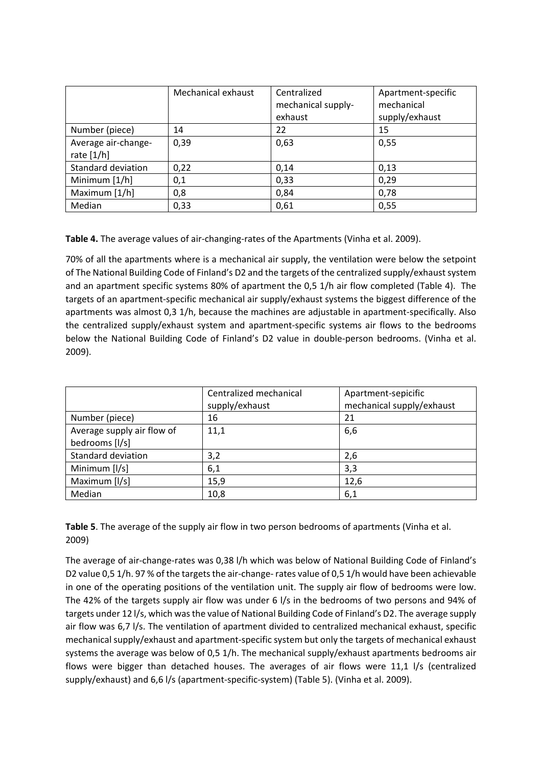|                                     | Mechanical exhaust | Centralized<br>mechanical supply-<br>exhaust | Apartment-specific<br>mechanical<br>supply/exhaust |
|-------------------------------------|--------------------|----------------------------------------------|----------------------------------------------------|
| Number (piece)                      | 14                 | 22                                           | 15                                                 |
| Average air-change-<br>rate $[1/h]$ | 0,39               | 0,63                                         | 0,55                                               |
| <b>Standard deviation</b>           | 0,22               | 0,14                                         | 0,13                                               |
| Minimum $[1/h]$                     | 0,1                | 0,33                                         | 0,29                                               |
| Maximum [1/h]                       | 0,8                | 0,84                                         | 0,78                                               |
| Median                              | 0,33               | 0,61                                         | 0,55                                               |

**Table 4.** The average values of air-changing-rates of the Apartments (Vinha et al. 2009).

70% of all the apartments where is a mechanical air supply, the ventilation were below the setpoint of The National Building Code of Finland's D2 and the targets of the centralized supply/exhaust system and an apartment specific systems 80% of apartment the 0,5 1/h air flow completed (Table 4). The targets of an apartment-specific mechanical air supply/exhaust systems the biggest difference of the apartments was almost 0,3 1/h, because the machines are adjustable in apartment-specifically. Also the centralized supply/exhaust system and apartment-specific systems air flows to the bedrooms below the National Building Code of Finland's D2 value in double-person bedrooms. (Vinha et al. 2009).

|                                              | Centralized mechanical<br>supply/exhaust | Apartment-sepicific<br>mechanical supply/exhaust |  |
|----------------------------------------------|------------------------------------------|--------------------------------------------------|--|
| Number (piece)                               | 16                                       | 21                                               |  |
| Average supply air flow of<br>bedrooms [I/s] | 11,1                                     | 6,6                                              |  |
| <b>Standard deviation</b>                    | 3,2                                      | 2,6                                              |  |
| Minimum [I/s]                                | 6,1                                      | 3,3                                              |  |
| Maximum [I/s]                                | 15,9                                     | 12,6                                             |  |
| Median                                       | 10,8                                     | 6,1                                              |  |

**Table 5**. The average of the supply air flow in two person bedrooms of apartments (Vinha et al. 2009)

The average of air-change-rates was 0,38 l/h which was below of National Building Code of Finland's D2 value 0,5 1/h. 97 % of the targets the air-change- rates value of 0,5 1/h would have been achievable in one of the operating positions of the ventilation unit. The supply air flow of bedrooms were low. The 42% of the targets supply air flow was under 6 l/s in the bedrooms of two persons and 94% of targets under 12 l/s, which was the value of National Building Code of Finland's D2. The average supply air flow was 6,7 l/s. The ventilation of apartment divided to centralized mechanical exhaust, specific mechanical supply/exhaust and apartment-specific system but only the targets of mechanical exhaust systems the average was below of 0,5 1/h. The mechanical supply/exhaust apartments bedrooms air flows were bigger than detached houses. The averages of air flows were 11,1 l/s (centralized supply/exhaust) and 6,6 l/s (apartment-specific-system) (Table 5). (Vinha et al. 2009).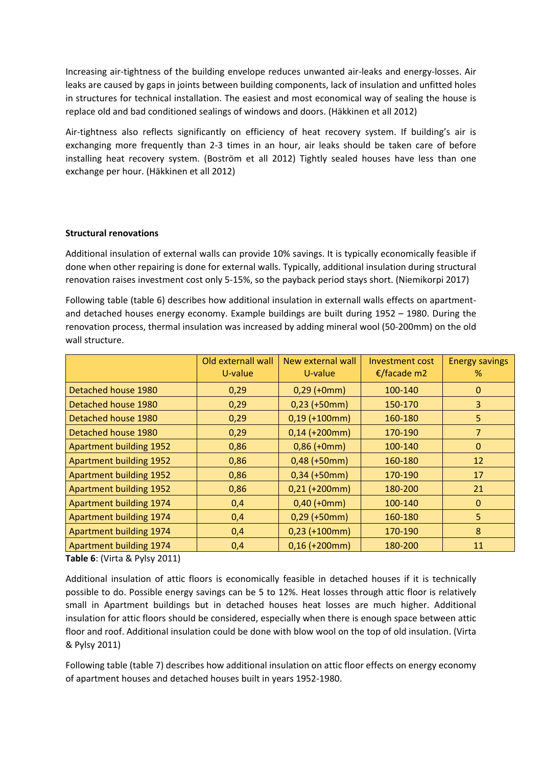Increasing air-tightness of the building envelope reduces unwanted air-leaks and energy-losses. Air leaks are caused by gaps in joints between building components, lack of insulation and unfitted holes in structures for technical installation. The easiest and most economical way of sealing the house is replace old and bad conditioned sealings of windows and doors. (Häkkinen et all 2012)

Air-tightness also reflects significantly on efficiency of heat recovery system. If building's air is exchanging more frequently than 2-3 times in an hour, air leaks should be taken care of before installing heat recovery system. (Boström et all 2012) Tightly sealed houses have less than one exchange per hour. (Häkkinen et all 2012)

#### **Structural renovations**

Additional insulation of external walls can provide 10% savings. It is typically economically feasible if done when other repairing is done for external walls. Typically, additional insulation during structural renovation raises investment cost only 5-15%, so the payback period stays short. (Niemikorpi 2017)

Following table (table 6) describes how additional insulation in externall walls effects on apartmentand detached houses energy economy. Example buildings are built during 1952 – 1980. During the renovation process, thermal insulation was increased by adding mineral wool (50-200mm) on the old wall structure.

|                                | Old externall wall<br>U-value | New external wall<br>U-value | <b>Investment cost</b><br>€/facade m2 | <b>Energy savings</b><br>% |
|--------------------------------|-------------------------------|------------------------------|---------------------------------------|----------------------------|
| Detached house 1980            | 0,29                          | $0,29$ (+0mm)                | 100-140                               | $\mathbf 0$                |
| Detached house 1980            | 0,29                          | $0,23$ (+50mm)               | 150-170                               | 3                          |
| Detached house 1980            | 0,29                          | $0,19$ (+100mm)              | 160-180                               | 5                          |
| Detached house 1980            | 0,29                          | $0,14$ (+200mm)              | 170-190                               | $\overline{7}$             |
| <b>Apartment building 1952</b> | 0,86                          | $0,86$ (+0mm)                | 100-140                               | $\mathbf 0$                |
| <b>Apartment building 1952</b> | 0,86                          | $0,48$ (+50mm)               | 160-180                               | 12                         |
| <b>Apartment building 1952</b> | 0,86                          | $0,34$ (+50mm)               | 170-190                               | 17                         |
| <b>Apartment building 1952</b> | 0,86                          | $0,21$ (+200mm)              | 180-200                               | 21                         |
| Apartment building 1974        | 0,4                           | $0,40$ (+0mm)                | 100-140                               | $\mathbf 0$                |
| Apartment building 1974        | 0,4                           | $0,29$ (+50mm)               | 160-180                               | 5                          |
| Apartment building 1974        | 0,4                           | $0,23$ (+100mm)              | 170-190                               | 8                          |
| Apartment building 1974        | 0,4                           | $0,16$ (+200mm)              | 180-200                               | 11                         |

**Table 6**: (Virta & Pylsy 2011)

Additional insulation of attic floors is economically feasible in detached houses if it is technically possible to do. Possible energy savings can be 5 to 12%. Heat losses through attic floor is relatively small in Apartment buildings but in detached houses heat losses are much higher. Additional insulation for attic floors should be considered, especially when there is enough space between attic floor and roof. Additional insulation could be done with blow wool on the top of old insulation. (Virta & Pylsy 2011)

Following table (table 7) describes how additional insulation on attic floor effects on energy economy of apartment houses and detached houses built in years 1952-1980.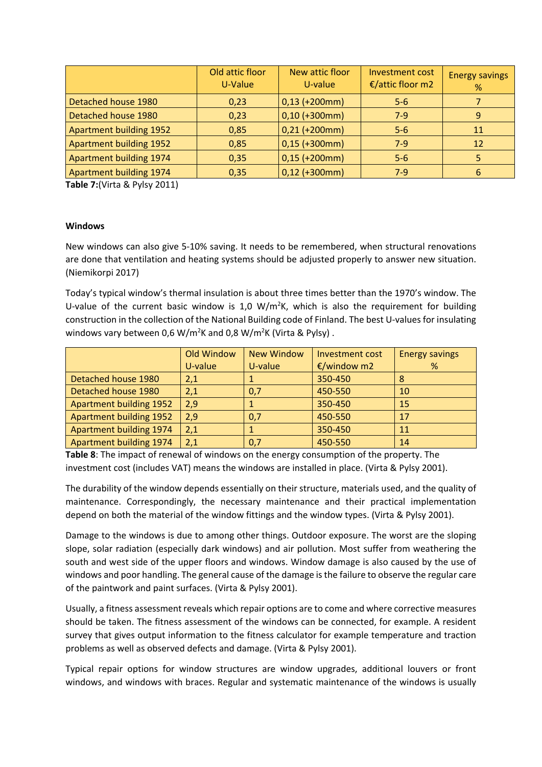|                                | Old attic floor<br>U-Value | New attic floor<br>U-value | <b>Investment cost</b><br>€/attic floor m2 | <b>Energy savings</b><br>% |
|--------------------------------|----------------------------|----------------------------|--------------------------------------------|----------------------------|
| Detached house 1980            | 0,23                       | $0,13$ (+200mm)            | $5-6$                                      |                            |
| Detached house 1980            | 0,23                       | $0,10$ (+300mm)            | $7-9$                                      | 9                          |
| <b>Apartment building 1952</b> | 0,85                       | $0,21$ (+200mm)            | $5 - 6$                                    | 11                         |
| <b>Apartment building 1952</b> | 0,85                       | $0,15$ (+300mm)            | $7-9$                                      | 12                         |
| Apartment building 1974        | 0,35                       | $0,15$ (+200mm)            | $5 - 6$                                    |                            |
| Apartment building 1974        | 0,35                       | $0,12$ (+300mm)            | $7-9$                                      | 6                          |

**Table 7:**(Virta & Pylsy 2011)

#### **Windows**

New windows can also give 5-10% saving. It needs to be remembered, when structural renovations are done that ventilation and heating systems should be adjusted properly to answer new situation. (Niemikorpi 2017)

Today's typical window's thermal insulation is about three times better than the 1970's window. The U-value of the current basic window is  $1,0 \, \text{W/m}^2$ K, which is also the requirement for building construction in the collection of the National Building code of Finland. The best U-values for insulating windows vary between 0,6 W/m<sup>2</sup>K and 0,8 W/m<sup>2</sup>K (Virta & Pylsy).

|                                | Old Window | <b>New Window</b> | Investment cost | <b>Energy savings</b> |
|--------------------------------|------------|-------------------|-----------------|-----------------------|
|                                | U-value    | U-value           | €/window m2     | %                     |
| Detached house 1980            | 2,1        |                   | 350-450         | 8                     |
| Detached house 1980            | 2,1        | 0,7               | 450-550         | 10                    |
| <b>Apartment building 1952</b> | 2,9        |                   | 350-450         | 15                    |
| <b>Apartment building 1952</b> | 2,9        | 0,7               | 450-550         | 17                    |
| Apartment building 1974        | 2,1        |                   | 350-450         | 11                    |
| <b>Apartment building 1974</b> | 2,1        | 0,7               | 450-550         | 14                    |

**Table 8**: The impact of renewal of windows on the energy consumption of the property. The investment cost (includes VAT) means the windows are installed in place. (Virta & Pylsy 2001).

The durability of the window depends essentially on their structure, materials used, and the quality of maintenance. Correspondingly, the necessary maintenance and their practical implementation depend on both the material of the window fittings and the window types. (Virta & Pylsy 2001).

Damage to the windows is due to among other things. Outdoor exposure. The worst are the sloping slope, solar radiation (especially dark windows) and air pollution. Most suffer from weathering the south and west side of the upper floors and windows. Window damage is also caused by the use of windows and poor handling. The general cause of the damage is the failure to observe the regular care of the paintwork and paint surfaces. (Virta & Pylsy 2001).

Usually, a fitness assessment reveals which repair options are to come and where corrective measures should be taken. The fitness assessment of the windows can be connected, for example. A resident survey that gives output information to the fitness calculator for example temperature and traction problems as well as observed defects and damage. (Virta & Pylsy 2001).

Typical repair options for window structures are window upgrades, additional louvers or front windows, and windows with braces. Regular and systematic maintenance of the windows is usually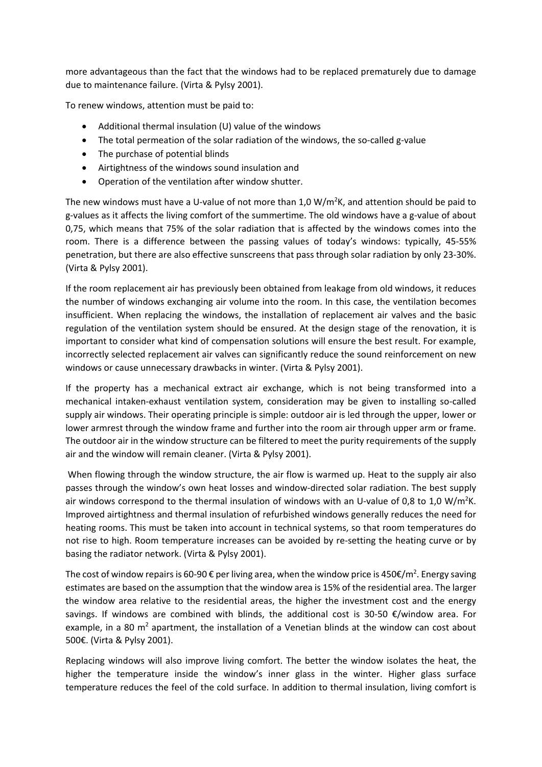more advantageous than the fact that the windows had to be replaced prematurely due to damage due to maintenance failure. (Virta & Pylsy 2001).

To renew windows, attention must be paid to:

- Additional thermal insulation (U) value of the windows
- The total permeation of the solar radiation of the windows, the so-called g-value
- The purchase of potential blinds
- Airtightness of the windows sound insulation and
- Operation of the ventilation after window shutter.

The new windows must have a U-value of not more than 1,0  $W/m^2K$ , and attention should be paid to g-values as it affects the living comfort of the summertime. The old windows have a g-value of about 0,75, which means that 75% of the solar radiation that is affected by the windows comes into the room. There is a difference between the passing values of today's windows: typically, 45-55% penetration, but there are also effective sunscreens that pass through solar radiation by only 23-30%. (Virta & Pylsy 2001).

If the room replacement air has previously been obtained from leakage from old windows, it reduces the number of windows exchanging air volume into the room. In this case, the ventilation becomes insufficient. When replacing the windows, the installation of replacement air valves and the basic regulation of the ventilation system should be ensured. At the design stage of the renovation, it is important to consider what kind of compensation solutions will ensure the best result. For example, incorrectly selected replacement air valves can significantly reduce the sound reinforcement on new windows or cause unnecessary drawbacks in winter. (Virta & Pylsy 2001).

If the property has a mechanical extract air exchange, which is not being transformed into a mechanical intaken-exhaust ventilation system, consideration may be given to installing so-called supply air windows. Their operating principle is simple: outdoor air is led through the upper, lower or lower armrest through the window frame and further into the room air through upper arm or frame. The outdoor air in the window structure can be filtered to meet the purity requirements of the supply air and the window will remain cleaner. (Virta & Pylsy 2001).

When flowing through the window structure, the air flow is warmed up. Heat to the supply air also passes through the window's own heat losses and window-directed solar radiation. The best supply air windows correspond to the thermal insulation of windows with an U-value of 0,8 to 1,0 W/m<sup>2</sup>K. Improved airtightness and thermal insulation of refurbished windows generally reduces the need for heating rooms. This must be taken into account in technical systems, so that room temperatures do not rise to high. Room temperature increases can be avoided by re-setting the heating curve or by basing the radiator network. (Virta & Pylsy 2001).

The cost of window repairs is 60-90  $\epsilon$  per living area, when the window price is 450 $\epsilon/m^2$ . Energy saving estimates are based on the assumption that the window area is 15% of the residential area. The larger the window area relative to the residential areas, the higher the investment cost and the energy savings. If windows are combined with blinds, the additional cost is 30-50  $\epsilon$ /window area. For example, in a 80  $m^2$  apartment, the installation of a Venetian blinds at the window can cost about 500€. (Virta & Pylsy 2001).

Replacing windows will also improve living comfort. The better the window isolates the heat, the higher the temperature inside the window's inner glass in the winter. Higher glass surface temperature reduces the feel of the cold surface. In addition to thermal insulation, living comfort is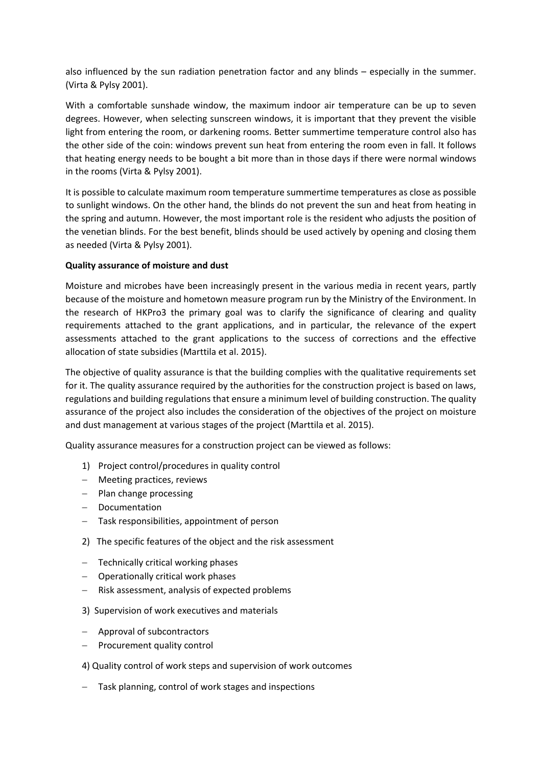also influenced by the sun radiation penetration factor and any blinds – especially in the summer. (Virta & Pylsy 2001).

With a comfortable sunshade window, the maximum indoor air temperature can be up to seven degrees. However, when selecting sunscreen windows, it is important that they prevent the visible light from entering the room, or darkening rooms. Better summertime temperature control also has the other side of the coin: windows prevent sun heat from entering the room even in fall. It follows that heating energy needs to be bought a bit more than in those days if there were normal windows in the rooms (Virta & Pylsy 2001).

It is possible to calculate maximum room temperature summertime temperatures as close as possible to sunlight windows. On the other hand, the blinds do not prevent the sun and heat from heating in the spring and autumn. However, the most important role is the resident who adjusts the position of the venetian blinds. For the best benefit, blinds should be used actively by opening and closing them as needed (Virta & Pylsy 2001).

## **Quality assurance of moisture and dust**

Moisture and microbes have been increasingly present in the various media in recent years, partly because of the moisture and hometown measure program run by the Ministry of the Environment. In the research of HKPro3 the primary goal was to clarify the significance of clearing and quality requirements attached to the grant applications, and in particular, the relevance of the expert assessments attached to the grant applications to the success of corrections and the effective allocation of state subsidies (Marttila et al. 2015).

The objective of quality assurance is that the building complies with the qualitative requirements set for it. The quality assurance required by the authorities for the construction project is based on laws, regulations and building regulations that ensure a minimum level of building construction. The quality assurance of the project also includes the consideration of the objectives of the project on moisture and dust management at various stages of the project (Marttila et al. 2015).

Quality assurance measures for a construction project can be viewed as follows:

- 1) Project control/procedures in quality control
- − Meeting practices, reviews
- − Plan change processing
- − Documentation
- − Task responsibilities, appointment of person
- 2) The specific features of the object and the risk assessment
- − Technically critical working phases
- − Operationally critical work phases
- − Risk assessment, analysis of expected problems
- 3) Supervision of work executives and materials
- − Approval of subcontractors
- − Procurement quality control
- 4) Quality control of work steps and supervision of work outcomes
- − Task planning, control of work stages and inspections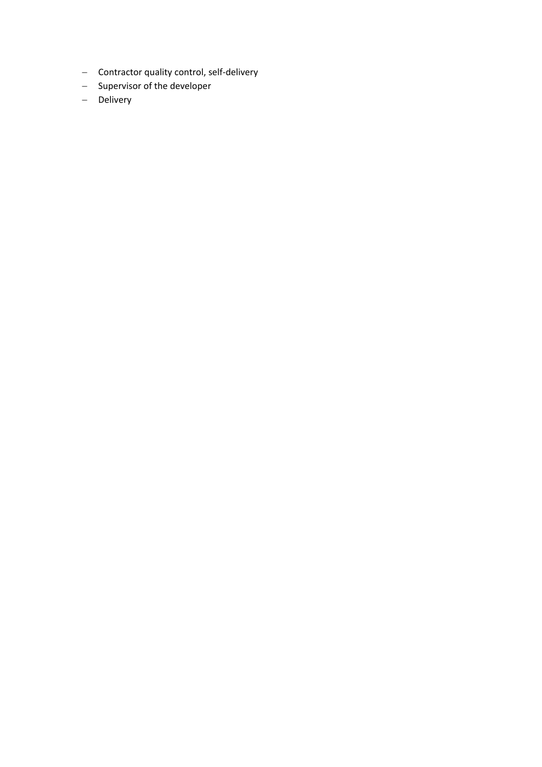- − Contractor quality control, self-delivery
- − Supervisor of the developer
- − Delivery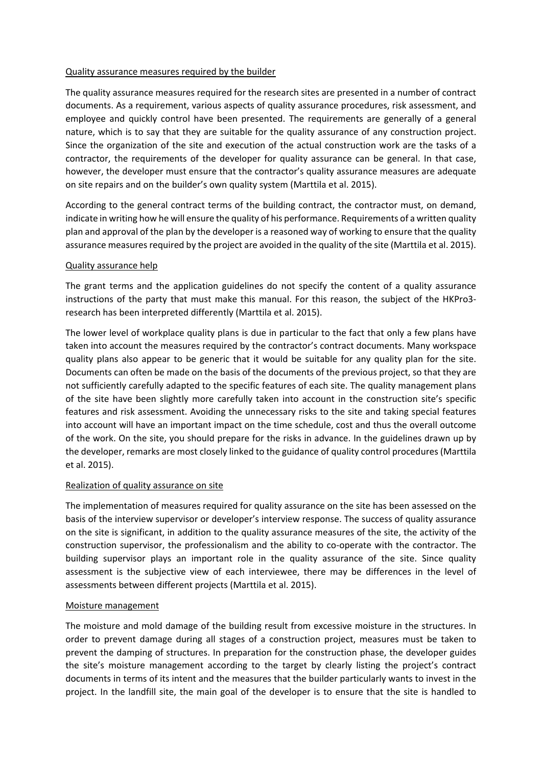#### Quality assurance measures required by the builder

The quality assurance measures required for the research sites are presented in a number of contract documents. As a requirement, various aspects of quality assurance procedures, risk assessment, and employee and quickly control have been presented. The requirements are generally of a general nature, which is to say that they are suitable for the quality assurance of any construction project. Since the organization of the site and execution of the actual construction work are the tasks of a contractor, the requirements of the developer for quality assurance can be general. In that case, however, the developer must ensure that the contractor's quality assurance measures are adequate on site repairs and on the builder's own quality system (Marttila et al. 2015).

According to the general contract terms of the building contract, the contractor must, on demand, indicate in writing how he will ensure the quality of his performance. Requirements of a written quality plan and approval of the plan by the developer is a reasoned way of working to ensure that the quality assurance measures required by the project are avoided in the quality of the site (Marttila et al. 2015).

#### Quality assurance help

The grant terms and the application guidelines do not specify the content of a quality assurance instructions of the party that must make this manual. For this reason, the subject of the HKPro3 research has been interpreted differently (Marttila et al. 2015).

The lower level of workplace quality plans is due in particular to the fact that only a few plans have taken into account the measures required by the contractor's contract documents. Many workspace quality plans also appear to be generic that it would be suitable for any quality plan for the site. Documents can often be made on the basis of the documents of the previous project, so that they are not sufficiently carefully adapted to the specific features of each site. The quality management plans of the site have been slightly more carefully taken into account in the construction site's specific features and risk assessment. Avoiding the unnecessary risks to the site and taking special features into account will have an important impact on the time schedule, cost and thus the overall outcome of the work. On the site, you should prepare for the risks in advance. In the guidelines drawn up by the developer, remarks are most closely linked to the guidance of quality control procedures (Marttila et al. 2015).

#### Realization of quality assurance on site

The implementation of measures required for quality assurance on the site has been assessed on the basis of the interview supervisor or developer's interview response. The success of quality assurance on the site is significant, in addition to the quality assurance measures of the site, the activity of the construction supervisor, the professionalism and the ability to co-operate with the contractor. The building supervisor plays an important role in the quality assurance of the site. Since quality assessment is the subjective view of each interviewee, there may be differences in the level of assessments between different projects (Marttila et al. 2015).

#### Moisture management

The moisture and mold damage of the building result from excessive moisture in the structures. In order to prevent damage during all stages of a construction project, measures must be taken to prevent the damping of structures. In preparation for the construction phase, the developer guides the site's moisture management according to the target by clearly listing the project's contract documents in terms of its intent and the measures that the builder particularly wants to invest in the project. In the landfill site, the main goal of the developer is to ensure that the site is handled to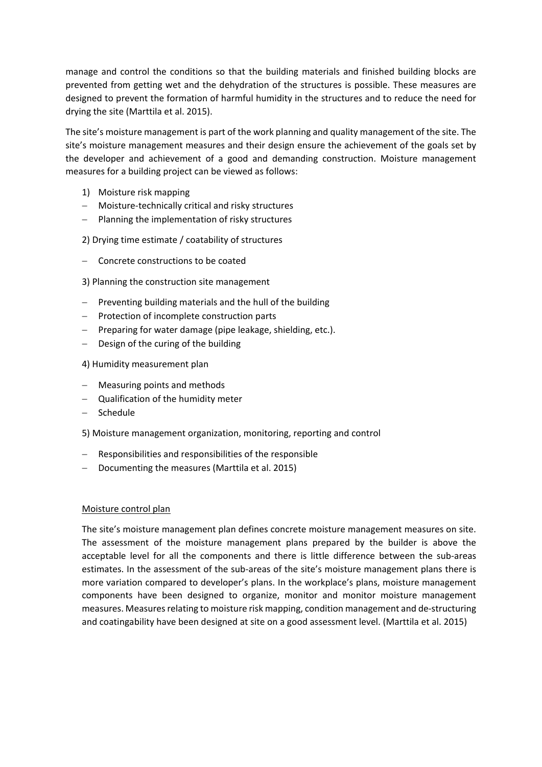manage and control the conditions so that the building materials and finished building blocks are prevented from getting wet and the dehydration of the structures is possible. These measures are designed to prevent the formation of harmful humidity in the structures and to reduce the need for drying the site (Marttila et al. 2015).

The site's moisture management is part of the work planning and quality management of the site. The site's moisture management measures and their design ensure the achievement of the goals set by the developer and achievement of a good and demanding construction. Moisture management measures for a building project can be viewed as follows:

- 1) Moisture risk mapping
- − Moisture-technically critical and risky structures
- − Planning the implementation of risky structures
- 2) Drying time estimate / coatability of structures
- − Concrete constructions to be coated
- 3) Planning the construction site management
- − Preventing building materials and the hull of the building
- − Protection of incomplete construction parts
- − Preparing for water damage (pipe leakage, shielding, etc.).
- − Design of the curing of the building
- 4) Humidity measurement plan
- − Measuring points and methods
- − Qualification of the humidity meter
- − Schedule
- 5) Moisture management organization, monitoring, reporting and control
- − Responsibilities and responsibilities of the responsible
- − Documenting the measures (Marttila et al. 2015)

#### Moisture control plan

The site's moisture management plan defines concrete moisture management measures on site. The assessment of the moisture management plans prepared by the builder is above the acceptable level for all the components and there is little difference between the sub-areas estimates. In the assessment of the sub-areas of the site's moisture management plans there is more variation compared to developer's plans. In the workplace's plans, moisture management components have been designed to organize, monitor and monitor moisture management measures. Measures relating to moisture risk mapping, condition management and de-structuring and coatingability have been designed at site on a good assessment level. (Marttila et al. 2015)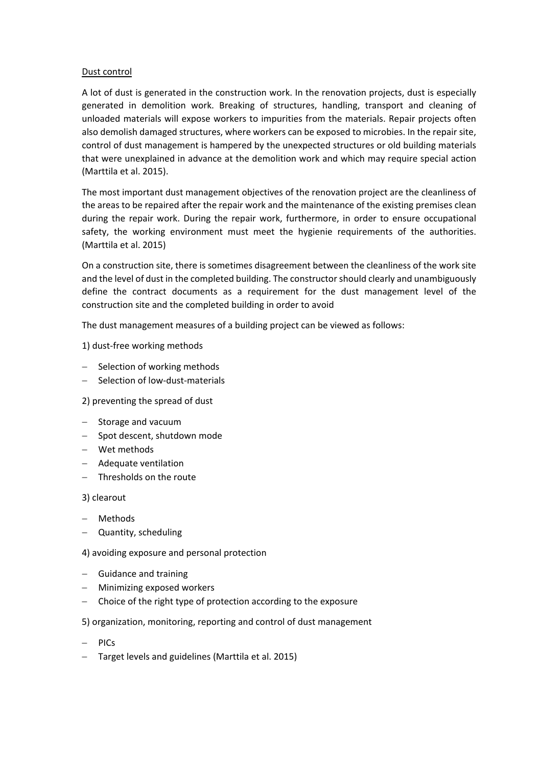### Dust control

A lot of dust is generated in the construction work. In the renovation projects, dust is especially generated in demolition work. Breaking of structures, handling, transport and cleaning of unloaded materials will expose workers to impurities from the materials. Repair projects often also demolish damaged structures, where workers can be exposed to microbies. In the repair site, control of dust management is hampered by the unexpected structures or old building materials that were unexplained in advance at the demolition work and which may require special action (Marttila et al. 2015).

The most important dust management objectives of the renovation project are the cleanliness of the areas to be repaired after the repair work and the maintenance of the existing premises clean during the repair work. During the repair work, furthermore, in order to ensure occupational safety, the working environment must meet the hygienie requirements of the authorities. (Marttila et al. 2015)

On a construction site, there is sometimes disagreement between the cleanliness of the work site and the level of dust in the completed building. The constructor should clearly and unambiguously define the contract documents as a requirement for the dust management level of the construction site and the completed building in order to avoid

The dust management measures of a building project can be viewed as follows:

1) dust-free working methods

- − Selection of working methods
- − Selection of low-dust-materials

2) preventing the spread of dust

- − Storage and vacuum
- − Spot descent, shutdown mode
- − Wet methods
- − Adequate ventilation
- − Thresholds on the route

3) clearout

- − Methods
- − Quantity, scheduling

4) avoiding exposure and personal protection

- − Guidance and training
- − Minimizing exposed workers
- − Choice of the right type of protection according to the exposure

5) organization, monitoring, reporting and control of dust management

- − PICs
- − Target levels and guidelines (Marttila et al. 2015)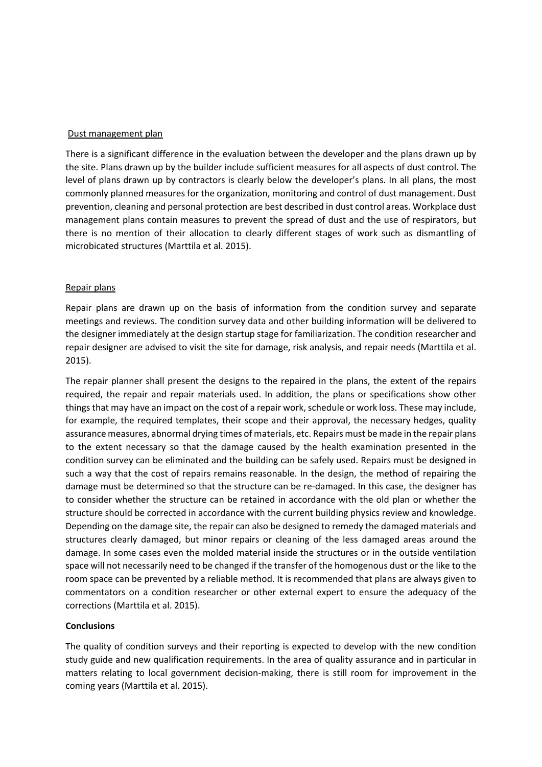#### Dust management plan

There is a significant difference in the evaluation between the developer and the plans drawn up by the site. Plans drawn up by the builder include sufficient measures for all aspects of dust control. The level of plans drawn up by contractors is clearly below the developer's plans. In all plans, the most commonly planned measures for the organization, monitoring and control of dust management. Dust prevention, cleaning and personal protection are best described in dust control areas. Workplace dust management plans contain measures to prevent the spread of dust and the use of respirators, but there is no mention of their allocation to clearly different stages of work such as dismantling of microbicated structures (Marttila et al. 2015).

#### Repair plans

Repair plans are drawn up on the basis of information from the condition survey and separate meetings and reviews. The condition survey data and other building information will be delivered to the designer immediately at the design startup stage for familiarization. The condition researcher and repair designer are advised to visit the site for damage, risk analysis, and repair needs (Marttila et al. 2015).

The repair planner shall present the designs to the repaired in the plans, the extent of the repairs required, the repair and repair materials used. In addition, the plans or specifications show other things that may have an impact on the cost of a repair work, schedule or work loss. These may include, for example, the required templates, their scope and their approval, the necessary hedges, quality assurance measures, abnormal drying times of materials, etc. Repairs must be made in the repair plans to the extent necessary so that the damage caused by the health examination presented in the condition survey can be eliminated and the building can be safely used. Repairs must be designed in such a way that the cost of repairs remains reasonable. In the design, the method of repairing the damage must be determined so that the structure can be re-damaged. In this case, the designer has to consider whether the structure can be retained in accordance with the old plan or whether the structure should be corrected in accordance with the current building physics review and knowledge. Depending on the damage site, the repair can also be designed to remedy the damaged materials and structures clearly damaged, but minor repairs or cleaning of the less damaged areas around the damage. In some cases even the molded material inside the structures or in the outside ventilation space will not necessarily need to be changed if the transfer of the homogenous dust or the like to the room space can be prevented by a reliable method. It is recommended that plans are always given to commentators on a condition researcher or other external expert to ensure the adequacy of the corrections (Marttila et al. 2015).

#### **Conclusions**

The quality of condition surveys and their reporting is expected to develop with the new condition study guide and new qualification requirements. In the area of quality assurance and in particular in matters relating to local government decision-making, there is still room for improvement in the coming years (Marttila et al. 2015).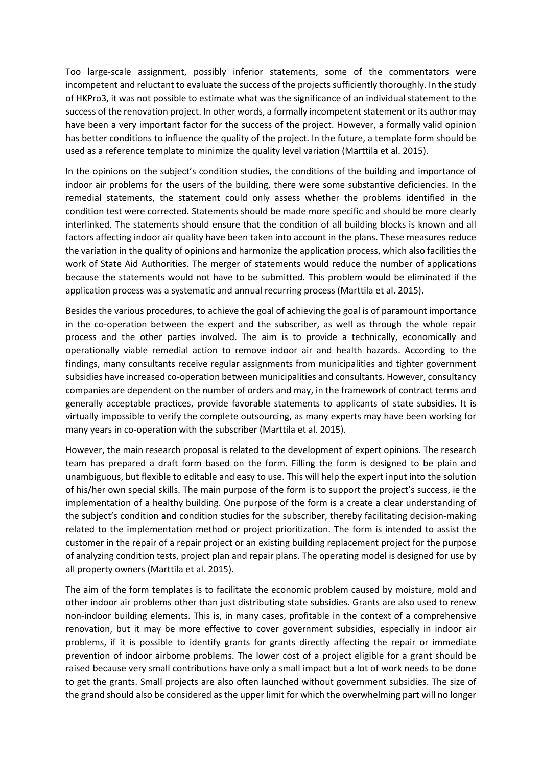Too large-scale assignment, possibly inferior statements, some of the commentators were incompetent and reluctant to evaluate the success of the projects sufficiently thoroughly. In the study of HKPro3, it was not possible to estimate what was the significance of an individual statement to the success of the renovation project. In other words, a formally incompetent statement or its author may have been a very important factor for the success of the project. However, a formally valid opinion has better conditions to influence the quality of the project. In the future, a template form should be used as a reference template to minimize the quality level variation (Marttila et al. 2015).

In the opinions on the subject's condition studies, the conditions of the building and importance of indoor air problems for the users of the building, there were some substantive deficiencies. In the remedial statements, the statement could only assess whether the problems identified in the condition test were corrected. Statements should be made more specific and should be more clearly interlinked. The statements should ensure that the condition of all building blocks is known and all factors affecting indoor air quality have been taken into account in the plans. These measures reduce the variation in the quality of opinions and harmonize the application process, which also facilities the work of State Aid Authorities. The merger of statements would reduce the number of applications because the statements would not have to be submitted. This problem would be eliminated if the application process was a systematic and annual recurring process (Marttila et al. 2015).

Besides the various procedures, to achieve the goal of achieving the goal is of paramount importance in the co-operation between the expert and the subscriber, as well as through the whole repair process and the other parties involved. The aim is to provide a technically, economically and operationally viable remedial action to remove indoor air and health hazards. According to the findings, many consultants receive regular assignments from municipalities and tighter government subsidies have increased co-operation between municipalities and consultants. However, consultancy companies are dependent on the number of orders and may, in the framework of contract terms and generally acceptable practices, provide favorable statements to applicants of state subsidies. It is virtually impossible to verify the complete outsourcing, as many experts may have been working for many years in co-operation with the subscriber (Marttila et al. 2015).

However, the main research proposal is related to the development of expert opinions. The research team has prepared a draft form based on the form. Filling the form is designed to be plain and unambiguous, but flexible to editable and easy to use. This will help the expert input into the solution of his/her own special skills. The main purpose of the form is to support the project's success, ie the implementation of a healthy building. One purpose of the form is a create a clear understanding of the subject's condition and condition studies for the subscriber, thereby facilitating decision-making related to the implementation method or project prioritization. The form is intended to assist the customer in the repair of a repair project or an existing building replacement project for the purpose of analyzing condition tests, project plan and repair plans. The operating model is designed for use by all property owners (Marttila et al. 2015).

The aim of the form templates is to facilitate the economic problem caused by moisture, mold and other indoor air problems other than just distributing state subsidies. Grants are also used to renew non-indoor building elements. This is, in many cases, profitable in the context of a comprehensive renovation, but it may be more effective to cover government subsidies, especially in indoor air problems, if it is possible to identify grants for grants directly affecting the repair or immediate prevention of indoor airborne problems. The lower cost of a project eligible for a grant should be raised because very small contributions have only a small impact but a lot of work needs to be done to get the grants. Small projects are also often launched without government subsidies. The size of the grand should also be considered as the upper limit for which the overwhelming part will no longer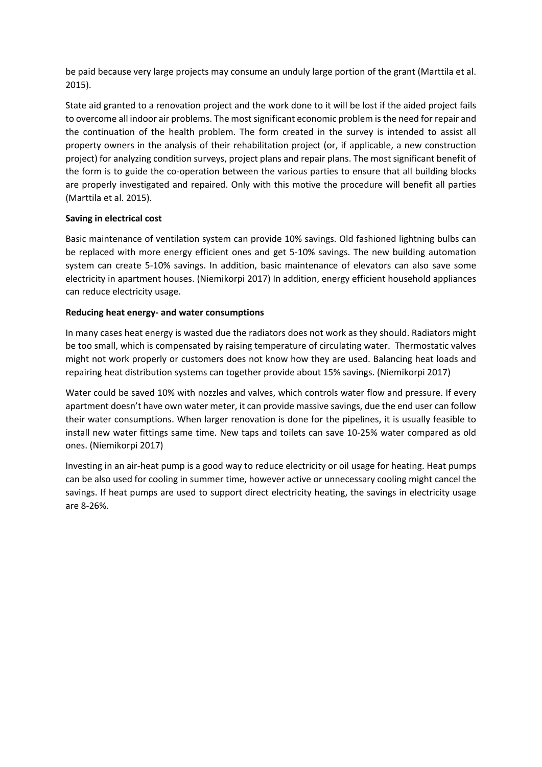be paid because very large projects may consume an unduly large portion of the grant (Marttila et al. 2015).

State aid granted to a renovation project and the work done to it will be lost if the aided project fails to overcome all indoor air problems. The most significant economic problem is the need for repair and the continuation of the health problem. The form created in the survey is intended to assist all property owners in the analysis of their rehabilitation project (or, if applicable, a new construction project) for analyzing condition surveys, project plans and repair plans. The most significant benefit of the form is to guide the co-operation between the various parties to ensure that all building blocks are properly investigated and repaired. Only with this motive the procedure will benefit all parties (Marttila et al. 2015).

# **Saving in electrical cost**

Basic maintenance of ventilation system can provide 10% savings. Old fashioned lightning bulbs can be replaced with more energy efficient ones and get 5-10% savings. The new building automation system can create 5-10% savings. In addition, basic maintenance of elevators can also save some electricity in apartment houses. (Niemikorpi 2017) In addition, energy efficient household appliances can reduce electricity usage.

## **Reducing heat energy- and water consumptions**

In many cases heat energy is wasted due the radiators does not work as they should. Radiators might be too small, which is compensated by raising temperature of circulating water. Thermostatic valves might not work properly or customers does not know how they are used. Balancing heat loads and repairing heat distribution systems can together provide about 15% savings. (Niemikorpi 2017)

Water could be saved 10% with nozzles and valves, which controls water flow and pressure. If every apartment doesn't have own water meter, it can provide massive savings, due the end user can follow their water consumptions. When larger renovation is done for the pipelines, it is usually feasible to install new water fittings same time. New taps and toilets can save 10-25% water compared as old ones. (Niemikorpi 2017)

Investing in an air-heat pump is a good way to reduce electricity or oil usage for heating. Heat pumps can be also used for cooling in summer time, however active or unnecessary cooling might cancel the savings. If heat pumps are used to support direct electricity heating, the savings in electricity usage are 8-26%.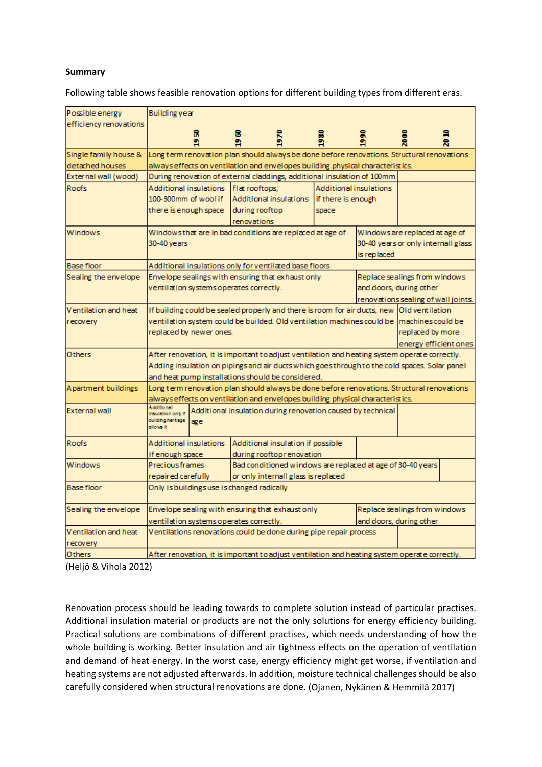### **Summary**

Following table shows feasible renovation options for different building types from different eras.

| Possible energy        | Building year                                                                     |                                                                                            |                                                                                               |                                     |                               |                                                            |                                     |   |
|------------------------|-----------------------------------------------------------------------------------|--------------------------------------------------------------------------------------------|-----------------------------------------------------------------------------------------------|-------------------------------------|-------------------------------|------------------------------------------------------------|-------------------------------------|---|
| efficiency renovations |                                                                                   |                                                                                            |                                                                                               |                                     |                               |                                                            |                                     |   |
|                        |                                                                                   | я<br>å                                                                                     | 8                                                                                             | $\frac{8}{2}$                       |                               |                                                            |                                     | Ħ |
| Single family house &  |                                                                                   | Long term renovation plan should always be done before renovations. Structural renovations |                                                                                               |                                     |                               |                                                            |                                     |   |
| detached houses        |                                                                                   |                                                                                            | always effects on ventilation and envelopes building physical characteristics.                |                                     |                               |                                                            |                                     |   |
| External wall (wood)   |                                                                                   |                                                                                            | During renovation of external claddings, additional insulation of 100mm                       |                                     |                               |                                                            |                                     |   |
| <b>Roofs</b>           | Additional insulations                                                            |                                                                                            | Flat rooftops:                                                                                |                                     | <b>Additional insulations</b> |                                                            |                                     |   |
|                        | 100-300mm of wool if                                                              |                                                                                            | Additional insulations                                                                        |                                     | if there is enough            |                                                            |                                     |   |
|                        | there is enough space                                                             |                                                                                            | during rooftop<br>renovations                                                                 |                                     | space                         |                                                            |                                     |   |
| <b>Windows</b>         |                                                                                   |                                                                                            | Windows that are in bad conditions are replaced at age of                                     |                                     |                               |                                                            | Windows are replaced at age of      |   |
|                        | 30-40 years                                                                       |                                                                                            |                                                                                               |                                     |                               |                                                            | 30-40 years or only internall glass |   |
|                        |                                                                                   |                                                                                            |                                                                                               |                                     |                               | is replaced                                                |                                     |   |
| <b>Base floor</b>      |                                                                                   |                                                                                            | Additional insulations only for ventilated base floors                                        |                                     |                               |                                                            |                                     |   |
| Sealing the envelope   |                                                                                   |                                                                                            | Envelope sealings with ensuring that exhaust only                                             |                                     |                               |                                                            | Replace sealings from windows       |   |
|                        |                                                                                   |                                                                                            | ventilation systems operates correctly.                                                       |                                     |                               |                                                            | and doors, during other             |   |
|                        |                                                                                   |                                                                                            |                                                                                               |                                     |                               |                                                            | renovations sealing of wall joints. |   |
| Ventilation and heat   |                                                                                   |                                                                                            | If building could be sealed properly and there is room for air ducts, new Old ventilation     |                                     |                               |                                                            |                                     |   |
| recovery               |                                                                                   |                                                                                            | ventilation system could be builded. Old ventilation machines could be  machines could be     |                                     |                               |                                                            |                                     |   |
|                        |                                                                                   | replaced by newer ones.                                                                    |                                                                                               |                                     |                               |                                                            | replaced by more                    |   |
|                        |                                                                                   |                                                                                            |                                                                                               |                                     |                               |                                                            | energy efficient ones               |   |
| Others                 |                                                                                   |                                                                                            | After renovation, it is important to adjust ventilation and heating system operate correctly. |                                     |                               |                                                            |                                     |   |
|                        |                                                                                   |                                                                                            | Adding insulation on pipings and air ducts which goes through to the cold spaces. Solar panel |                                     |                               |                                                            |                                     |   |
|                        |                                                                                   |                                                                                            | and heat pump installations should be considered.                                             |                                     |                               |                                                            |                                     |   |
| Apartment buildings    |                                                                                   |                                                                                            | Long term renovation plan should always be done before renovations. Structural renovations    |                                     |                               |                                                            |                                     |   |
|                        |                                                                                   |                                                                                            | always effects on ventilation and envelopes building physical characteristics.                |                                     |                               |                                                            |                                     |   |
| <b>External wall</b>   | houlation only if<br>building her tage<br>allows it.                              | æe                                                                                         | Additional insulation during renovation caused by technical                                   |                                     |                               |                                                            |                                     |   |
| <b>Roofs</b>           | Additional insulations                                                            |                                                                                            | Additional insulation if possible                                                             |                                     |                               |                                                            |                                     |   |
|                        | if enough space                                                                   |                                                                                            |                                                                                               | during rooftop renovation           |                               |                                                            |                                     |   |
| Windows                | <b>Precious frames</b>                                                            |                                                                                            |                                                                                               |                                     |                               | Bad conditioned windows are replaced at age of 30-40 years |                                     |   |
|                        | repaired carefully                                                                |                                                                                            |                                                                                               | or only internall glass is replaced |                               |                                                            |                                     |   |
| Base floor             |                                                                                   |                                                                                            | Only is buildings use is changed radically                                                    |                                     |                               |                                                            |                                     |   |
| Sealing the envelope   | Replace sealings from windows<br>Envelope sealing with ensuring that exhaust only |                                                                                            |                                                                                               |                                     |                               |                                                            |                                     |   |
|                        | ventilation systems operates correctly.<br>and doors, during other                |                                                                                            |                                                                                               |                                     |                               |                                                            |                                     |   |
| Ventilation and heat   |                                                                                   |                                                                                            | Ventilations renovations could be done during pipe repair process                             |                                     |                               |                                                            |                                     |   |
| recovery               |                                                                                   |                                                                                            |                                                                                               |                                     |                               |                                                            |                                     |   |
| Others                 |                                                                                   |                                                                                            | After renovation, it is important to adjust ventilation and heating system operate correctly. |                                     |                               |                                                            |                                     |   |

(Heljö & Vihola 2012)

Renovation process should be leading towards to complete solution instead of particular practises. Additional insulation material or products are not the only solutions for energy efficiency building. Practical solutions are combinations of different practises, which needs understanding of how the whole building is working. Better insulation and air tightness effects on the operation of ventilation and demand of heat energy. In the worst case, energy efficiency might get worse, if ventilation and heating systems are not adjusted afterwards. In addition, moisture technical challenges should be also carefully considered when structural renovations are done. (Ojanen, Nykänen & Hemmilä 2017)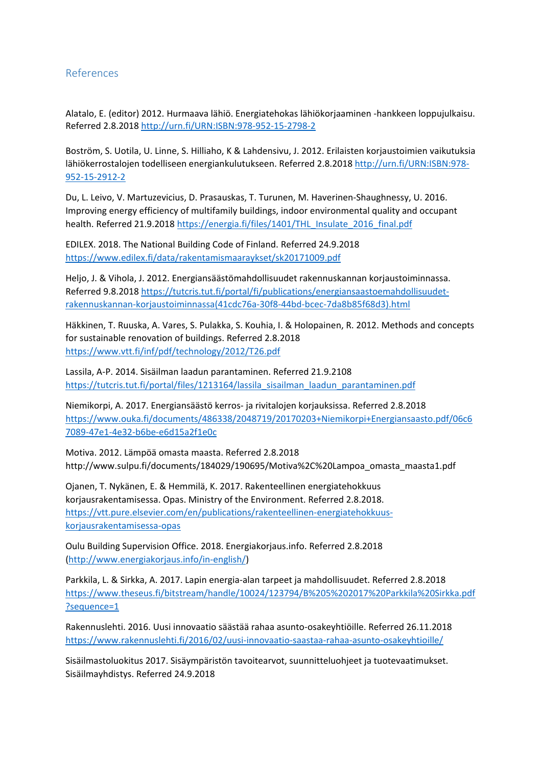# References

Alatalo, E. (editor) 2012. Hurmaava lähiö. Energiatehokas lähiökorjaaminen -hankkeen loppujulkaisu. Referred 2.8.2018<http://urn.fi/URN:ISBN:978-952-15-2798-2>

Boström, S. Uotila, U. Linne, S. Hilliaho, K & Lahdensivu, J. 2012. Erilaisten korjaustoimien vaikutuksia lähiökerrostalojen todelliseen energiankulutukseen. Referred 2.8.2018 [http://urn.fi/URN:ISBN:978-](http://urn.fi/URN:ISBN:978-952-15-2912-2) [952-15-2912-2](http://urn.fi/URN:ISBN:978-952-15-2912-2)

Du, L. Leivo, V. Martuzevicius, D. Prasauskas, T. Turunen, M. Haverinen-Shaughnessy, U. 2016. Improving energy efficiency of multifamily buildings, indoor environmental quality and occupant health. Referred 21.9.201[8 https://energia.fi/files/1401/THL\\_Insulate\\_2016\\_final.pdf](https://energia.fi/files/1401/THL_Insulate_2016_final.pdf)

EDILEX. 2018. The National Building Code of Finland. Referred 24.9.2018 <https://www.edilex.fi/data/rakentamismaaraykset/sk20171009.pdf>

Heljo, J. & Vihola, J. 2012. Energiansäästömahdollisuudet rakennuskannan korjaustoiminnassa. Referred 9.8.2018 [https://tutcris.tut.fi/portal/fi/publications/energiansaastoemahdollisuudet](https://tutcris.tut.fi/portal/fi/publications/energiansaastoemahdollisuudet-rakennuskannan-korjaustoiminnassa(41cdc76a-30f8-44bd-bcec-7da8b85f68d3).html)[rakennuskannan-korjaustoiminnassa\(41cdc76a-30f8-44bd-bcec-7da8b85f68d3\).html](https://tutcris.tut.fi/portal/fi/publications/energiansaastoemahdollisuudet-rakennuskannan-korjaustoiminnassa(41cdc76a-30f8-44bd-bcec-7da8b85f68d3).html)

Häkkinen, T. Ruuska, A. Vares, S. Pulakka, S. Kouhia, I. & Holopainen, R. 2012. Methods and concepts for sustainable renovation of buildings. Referred 2.8.2018 <https://www.vtt.fi/inf/pdf/technology/2012/T26.pdf>

Lassila, A-P. 2014. Sisäilman laadun parantaminen. Referred 21.9.2108 [https://tutcris.tut.fi/portal/files/1213164/lassila\\_sisailman\\_laadun\\_parantaminen.pdf](https://tutcris.tut.fi/portal/files/1213164/lassila_sisailman_laadun_parantaminen.pdf)

Niemikorpi, A. 2017. Energiansäästö kerros- ja rivitalojen korjauksissa. Referred 2.8.2018 [https://www.ouka.fi/documents/486338/2048719/20170203+Niemikorpi+Energiansaasto.pdf/06c6](https://www.ouka.fi/documents/486338/2048719/20170203+Niemikorpi+Energiansaasto.pdf/06c67089-47e1-4e32-b6be-e6d15a2f1e0c) [7089-47e1-4e32-b6be-e6d15a2f1e0c](https://www.ouka.fi/documents/486338/2048719/20170203+Niemikorpi+Energiansaasto.pdf/06c67089-47e1-4e32-b6be-e6d15a2f1e0c)

Motiva. 2012. Lämpöä omasta maasta. Referred 2.8.2018 http://www.sulpu.fi/documents/184029/190695/Motiva%2C%20Lampoa\_omasta\_maasta1.pdf

Ojanen, T. Nykänen, E. & Hemmilä, K. 2017. Rakenteellinen energiatehokkuus korjausrakentamisessa. Opas. Ministry of the Environment. Referred 2.8.2018. [https://vtt.pure.elsevier.com/en/publications/rakenteellinen-energiatehokkuus](https://vtt.pure.elsevier.com/en/publications/rakenteellinen-energiatehokkuus-korjausrakentamisessa-opas)[korjausrakentamisessa-opas](https://vtt.pure.elsevier.com/en/publications/rakenteellinen-energiatehokkuus-korjausrakentamisessa-opas)

Oulu Building Supervision Office. 2018. Energiakorjaus.info. Referred 2.8.2018 [\(http://www.energiakorjaus.info/in-english/\)](http://www.energiakorjaus.info/in-english/)

Parkkila, L. & Sirkka, A. 2017. Lapin energia-alan tarpeet ja mahdollisuudet. Referred 2.8.2018 [https://www.theseus.fi/bitstream/handle/10024/123794/B%205%202017%20Parkkila%20Sirkka.pdf](https://www.theseus.fi/bitstream/handle/10024/123794/B%205%202017%20Parkkila%20Sirkka.pdf?sequence=1) [?sequence=1](https://www.theseus.fi/bitstream/handle/10024/123794/B%205%202017%20Parkkila%20Sirkka.pdf?sequence=1)

Rakennuslehti. 2016. Uusi innovaatio säästää rahaa asunto-osakeyhtiöille. Referred 26.11.2018 <https://www.rakennuslehti.fi/2016/02/uusi-innovaatio-saastaa-rahaa-asunto-osakeyhtioille/>

Sisäilmastoluokitus 2017. Sisäympäristön tavoitearvot, suunnitteluohjeet ja tuotevaatimukset. Sisäilmayhdistys. Referred 24.9.2018